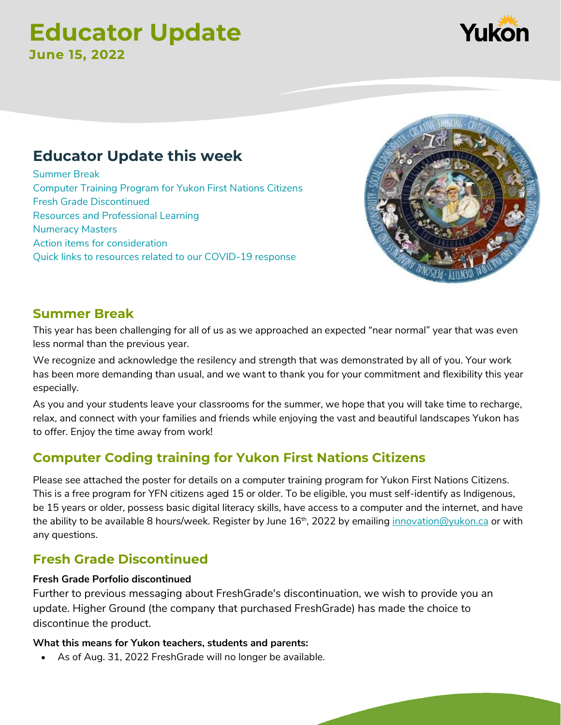# **Educator Update June 15, 2022**

# **Educator Update this week**

[Summer Break](#page-0-0) [Computer Training Program for Yukon First Nations Citizens](#page-0-1) [Fresh Grade Discontinued](#page-0-2) [Resources and Professional Learning](#page-1-0) [Numeracy Masters](#page-3-0)  [Action items for consideration](#page-3-1) [Quick links to resources related to our COVID-19 response](#page-3-2)



# <span id="page-0-0"></span>**Summer Break**

This year has been challenging for all of us as we approached an expected "near normal" year that was even less normal than the previous year.

We recognize and acknowledge the resilency and strength that was demonstrated by all of you. Your work has been more demanding than usual, and we want to thank you for your commitment and flexibility this year especially.

As you and your students leave your classrooms for the summer, we hope that you will take time to recharge, relax, and connect with your families and friends while enjoying the vast and beautiful landscapes Yukon has to offer. Enjoy the time away from work!

# <span id="page-0-1"></span>**Computer Coding training for Yukon First Nations Citizens**

Please see attached the poster for details on a computer training program for Yukon First Nations Citizens. This is a free program for YFN citizens aged 15 or older. To be eligible, you must self-identify as Indigenous, be 15 years or older, possess basic digital literacy skills, have access to a computer and the internet, and have the ability to be available 8 hours/week. Register by June 16<sup>th</sup>, 2022 by emailing *innovation@yukon.ca* or with any questions.

# <span id="page-0-2"></span>**Fresh Grade Discontinued**

### **Fresh Grade Porfolio discontinued**

Further to previous messaging about FreshGrade's discontinuation, we wish to provide you an update. Higher Ground (the company that purchased FreshGrade) has made the choice to discontinue the product.

#### **What this means for Yukon teachers, students and parents:**

As of Aug. 31, 2022 FreshGrade will no longer be available.

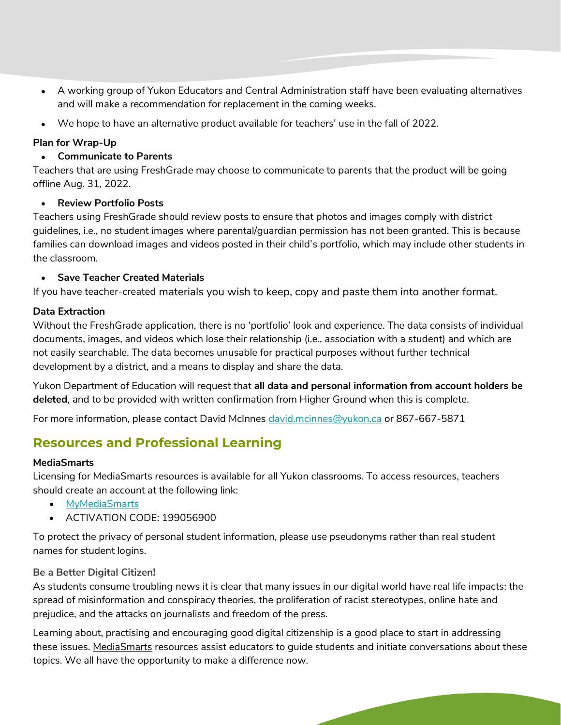- A working group of Yukon Educators and Central Administration staff have been evaluating alternatives and will make a recommendation for replacement in the coming weeks.
- We hope to have an alternative product available for teachers' use in the fall of 2022.

#### **Plan for Wrap-Up**

#### **Communicate to Parents**

Teachers that are using FreshGrade may choose to communicate to parents that the product will be going offline Aug. 31, 2022.

#### **Review Portfolio Posts**

Teachers using FreshGrade should review posts to ensure that photos and images comply with district guidelines, i.e., no student images where parental/guardian permission has not been granted. This is because families can download images and videos posted in their child's portfolio, which may include other students in the classroom.

#### **Save Teacher Created Materials**

If you have teacher-created materials you wish to keep, copy and paste them into another format.

#### **Data Extraction**

Without the FreshGrade application, there is no 'portfolio' look and experience. The data consists of individual documents, images, and videos which lose their relationship (i.e., association with a student) and which are not easily searchable. The data becomes unusable for practical purposes without further technical development by a district, and a means to display and share the data.

Yukon Department of Education will request that **all data and personal information from account holders be deleted**, and to be provided with written confirmation from Higher Ground when this is complete.

For more information, please contact David McInnes [david.mcinnes@yukon.ca](mailto:david.mcinnes@yukon.ca) or 867-667-5871

# <span id="page-1-0"></span>**Resources and Professional Learning**

#### **MediaSmarts**

Licensing for MediaSmarts resources is available for all Yukon classrooms. To access resources, teachers should create an account at the following link:

- [MyMediaSmarts](https://my.mediasmarts.ca/en/teacher/account/signup)
- ACTIVATION CODE: 199056900

To protect the privacy of personal student information, please use pseudonyms rather than real student names for student logins.

#### **Be a Better Digital Citizen!**

As students consume troubling news it is clear that many issues in our digital world have real life impacts: the spread of misinformation and conspiracy theories, the proliferation of racist stereotypes, online hate and prejudice, and the attacks on journalists and freedom of the press.

Learning about, practising and encouraging good digital citizenship is a good place to start in addressing these issues. [MediaSmarts](https://can01.safelinks.protection.outlook.com/?url=https%3A%2F%2Fmediasmarts.us2.list-manage.com%2Ftrack%2Fclick%3Fu%3D67f408dfb22f2784ff7891486%26id%3D2e7af1bff1%26e%3Dab45444b34&data=04%7C01%7Cdavid.mcinnes%40yukon.ca%7C8c56b71afe714669942108d9f6db68f2%7C98f515313973490abb70195aa264a2bc%7C0%7C0%7C637812244501528401%7CUnknown%7CTWFpbGZsb3d8eyJWIjoiMC4wLjAwMDAiLCJQIjoiV2luMzIiLCJBTiI6Ik1haWwiLCJXVCI6Mn0%3D%7C3000&sdata=YN3GLCbUAlUiExr5gSWZ2Pf9QKRMchJZJdj2icfb7nU%3D&reserved=0) resources assist educators to guide students and initiate conversations about these topics. We all have the opportunity to make a difference now.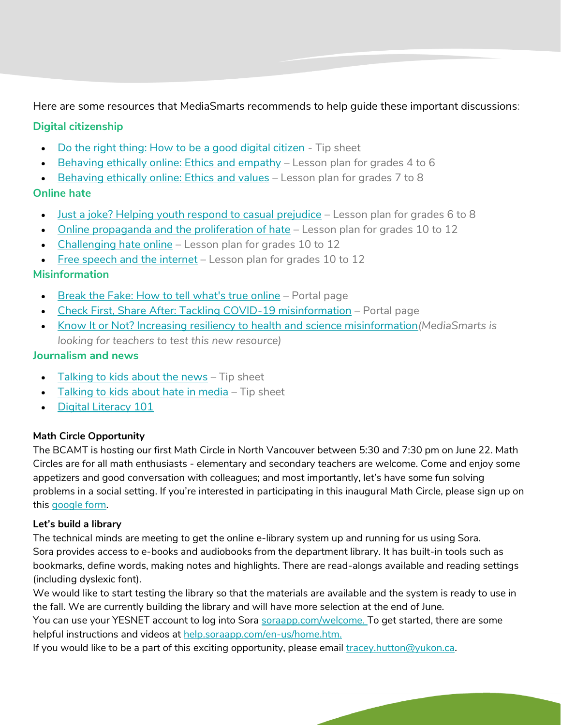Here are some resources that MediaSmarts recommends to help guide these important discussions:

### **Digital citizenship**

- [Do the right thing: How to be a good digital citizen](https://can01.safelinks.protection.outlook.com/?url=https%3A%2F%2Fmediasmarts.us2.list-manage.com%2Ftrack%2Fclick%3Fu%3D67f408dfb22f2784ff7891486%26id%3D43ad2cb335%26e%3Dab45444b34&data=04%7C01%7Cdavid.mcinnes%40yukon.ca%7C8c56b71afe714669942108d9f6db68f2%7C98f515313973490abb70195aa264a2bc%7C0%7C0%7C637812244501528401%7CUnknown%7CTWFpbGZsb3d8eyJWIjoiMC4wLjAwMDAiLCJQIjoiV2luMzIiLCJBTiI6Ik1haWwiLCJXVCI6Mn0%3D%7C3000&sdata=6ccu11FTAK8Lvy8d%2BM3HBHww4s78vYZOlhkHO8L74Ic%3D&reserved=0) Tip sheet
- **[Behaving ethically online: Ethics and empathy](https://can01.safelinks.protection.outlook.com/?url=https%3A%2F%2Fmediasmarts.us2.list-manage.com%2Ftrack%2Fclick%3Fu%3D67f408dfb22f2784ff7891486%26id%3De568d61ba1%26e%3Dab45444b34&data=04%7C01%7Cdavid.mcinnes%40yukon.ca%7C8c56b71afe714669942108d9f6db68f2%7C98f515313973490abb70195aa264a2bc%7C0%7C0%7C637812244501528401%7CUnknown%7CTWFpbGZsb3d8eyJWIjoiMC4wLjAwMDAiLCJQIjoiV2luMzIiLCJBTiI6Ik1haWwiLCJXVCI6Mn0%3D%7C3000&sdata=iARQumDX%2BO4G5ccOJOOsavspvy5wala6qHTP8b6pebQ%3D&reserved=0)** Lesson plan for grades 4 to 6
- [Behaving ethically online: Ethics and values](https://can01.safelinks.protection.outlook.com/?url=https%3A%2F%2Fmediasmarts.us2.list-manage.com%2Ftrack%2Fclick%3Fu%3D67f408dfb22f2784ff7891486%26id%3Dda1f18d1d4%26e%3Dab45444b34&data=04%7C01%7Cdavid.mcinnes%40yukon.ca%7C8c56b71afe714669942108d9f6db68f2%7C98f515313973490abb70195aa264a2bc%7C0%7C0%7C637812244501528401%7CUnknown%7CTWFpbGZsb3d8eyJWIjoiMC4wLjAwMDAiLCJQIjoiV2luMzIiLCJBTiI6Ik1haWwiLCJXVCI6Mn0%3D%7C3000&sdata=stVCyYYURGEiLZvZAm7IeT77AGIKtvW5wWh421a2o%2Fc%3D&reserved=0) Lesson plan for grades 7 to 8

### **Online hate**

- [Just a joke? Helping youth respond to casual prejudice](https://can01.safelinks.protection.outlook.com/?url=https%3A%2F%2Fmediasmarts.us2.list-manage.com%2Ftrack%2Fclick%3Fu%3D67f408dfb22f2784ff7891486%26id%3Ddb32bc73fa%26e%3Dab45444b34&data=04%7C01%7Cdavid.mcinnes%40yukon.ca%7C8c56b71afe714669942108d9f6db68f2%7C98f515313973490abb70195aa264a2bc%7C0%7C0%7C637812244501528401%7CUnknown%7CTWFpbGZsb3d8eyJWIjoiMC4wLjAwMDAiLCJQIjoiV2luMzIiLCJBTiI6Ik1haWwiLCJXVCI6Mn0%3D%7C3000&sdata=77zQZjJNicpL%2F1IW8z9jZbMd530g7J3n0M6Cxfu%2FDCE%3D&reserved=0) Lesson plan for grades 6 to 8
- [Online propaganda and the proliferation of hate](https://can01.safelinks.protection.outlook.com/?url=https%3A%2F%2Fmediasmarts.us2.list-manage.com%2Ftrack%2Fclick%3Fu%3D67f408dfb22f2784ff7891486%26id%3Db2c3270730%26e%3Dab45444b34&data=04%7C01%7Cdavid.mcinnes%40yukon.ca%7C8c56b71afe714669942108d9f6db68f2%7C98f515313973490abb70195aa264a2bc%7C0%7C0%7C637812244501528401%7CUnknown%7CTWFpbGZsb3d8eyJWIjoiMC4wLjAwMDAiLCJQIjoiV2luMzIiLCJBTiI6Ik1haWwiLCJXVCI6Mn0%3D%7C3000&sdata=pXml6QhlSaKzD1xR6v0LVPPPV4z1gytBa4A7CoLcdy4%3D&reserved=0) Lesson plan for grades 10 to 12
- [Challenging hate online](https://can01.safelinks.protection.outlook.com/?url=https%3A%2F%2Fmediasmarts.us2.list-manage.com%2Ftrack%2Fclick%3Fu%3D67f408dfb22f2784ff7891486%26id%3Da2fda0e621%26e%3Dab45444b34&data=04%7C01%7Cdavid.mcinnes%40yukon.ca%7C8c56b71afe714669942108d9f6db68f2%7C98f515313973490abb70195aa264a2bc%7C0%7C0%7C637812244501528401%7CUnknown%7CTWFpbGZsb3d8eyJWIjoiMC4wLjAwMDAiLCJQIjoiV2luMzIiLCJBTiI6Ik1haWwiLCJXVCI6Mn0%3D%7C3000&sdata=sJA8wGlJFwGA2JWvpTJiMwzqvmQsU5JWmHNF23V8twg%3D&reserved=0) Lesson plan for grades 10 to 12
- [Free speech and the internet](https://can01.safelinks.protection.outlook.com/?url=https%3A%2F%2Fmediasmarts.us2.list-manage.com%2Ftrack%2Fclick%3Fu%3D67f408dfb22f2784ff7891486%26id%3D87547bb8b6%26e%3Dab45444b34&data=04%7C01%7Cdavid.mcinnes%40yukon.ca%7C8c56b71afe714669942108d9f6db68f2%7C98f515313973490abb70195aa264a2bc%7C0%7C0%7C637812244501528401%7CUnknown%7CTWFpbGZsb3d8eyJWIjoiMC4wLjAwMDAiLCJQIjoiV2luMzIiLCJBTiI6Ik1haWwiLCJXVCI6Mn0%3D%7C3000&sdata=frl9dHNByryQnEp4wwRqcF5L3xXNNwL9XDOSX38iHNA%3D&reserved=0) Lesson plan for grades 10 to 12

### **Misinformation**

- **[Break the Fake: How to tell what's true online](https://can01.safelinks.protection.outlook.com/?url=https%3A%2F%2Fmediasmarts.us2.list-manage.com%2Ftrack%2Fclick%3Fu%3D67f408dfb22f2784ff7891486%26id%3Dd42fa44f46%26e%3Dab45444b34&data=04%7C01%7Cdavid.mcinnes%40yukon.ca%7C8c56b71afe714669942108d9f6db68f2%7C98f515313973490abb70195aa264a2bc%7C0%7C0%7C637812244501528401%7CUnknown%7CTWFpbGZsb3d8eyJWIjoiMC4wLjAwMDAiLCJQIjoiV2luMzIiLCJBTiI6Ik1haWwiLCJXVCI6Mn0%3D%7C3000&sdata=DZKFeoGr9C%2BxiLmmhA%2FUykmQY5n4vbiSjpqDZLpvBYY%3D&reserved=0)** Portal page
- [Check First, Share After: Tackling COVID-19 misinformation](https://can01.safelinks.protection.outlook.com/?url=https%3A%2F%2Fmediasmarts.us2.list-manage.com%2Ftrack%2Fclick%3Fu%3D67f408dfb22f2784ff7891486%26id%3D4255705942%26e%3Dab45444b34&data=04%7C01%7Cdavid.mcinnes%40yukon.ca%7C8c56b71afe714669942108d9f6db68f2%7C98f515313973490abb70195aa264a2bc%7C0%7C0%7C637812244501528401%7CUnknown%7CTWFpbGZsb3d8eyJWIjoiMC4wLjAwMDAiLCJQIjoiV2luMzIiLCJBTiI6Ik1haWwiLCJXVCI6Mn0%3D%7C3000&sdata=DZlZjJrlnCwj8vxZfcT3mCok6si0RuJXb5OtJ%2FZoPFE%3D&reserved=0) Portal page
- [Know It or Not? Increasing resiliency to health and science misinformation](https://can01.safelinks.protection.outlook.com/?url=https%3A%2F%2Fmediasmarts.us2.list-manage.com%2Ftrack%2Fclick%3Fu%3D67f408dfb22f2784ff7891486%26id%3Da84bd5301e%26e%3Dab45444b34&data=04%7C01%7Cdavid.mcinnes%40yukon.ca%7C8c56b71afe714669942108d9f6db68f2%7C98f515313973490abb70195aa264a2bc%7C0%7C0%7C637812244501528401%7CUnknown%7CTWFpbGZsb3d8eyJWIjoiMC4wLjAwMDAiLCJQIjoiV2luMzIiLCJBTiI6Ik1haWwiLCJXVCI6Mn0%3D%7C3000&sdata=mKfylI5ymAwfM4HXXrBUARcMqGyeZqIvO9UK5mmmCDI%3D&reserved=0)*(MediaSmarts is looking for teachers to test this new resource)*

### **Journalism and news**

- $\bullet$  [Talking to kids about the news](https://can01.safelinks.protection.outlook.com/?url=https%3A%2F%2Fmediasmarts.us2.list-manage.com%2Ftrack%2Fclick%3Fu%3D67f408dfb22f2784ff7891486%26id%3D231bb1147b%26e%3Dab45444b34&data=04%7C01%7Cdavid.mcinnes%40yukon.ca%7C8c56b71afe714669942108d9f6db68f2%7C98f515313973490abb70195aa264a2bc%7C0%7C0%7C637812244501528401%7CUnknown%7CTWFpbGZsb3d8eyJWIjoiMC4wLjAwMDAiLCJQIjoiV2luMzIiLCJBTiI6Ik1haWwiLCJXVCI6Mn0%3D%7C3000&sdata=pT4UdJeSURmXSF%2BnrNuxIQ0vQntsb%2B7456waAdnivks%3D&reserved=0) Tip sheet
- $\bullet$  [Talking to kids about hate in media](https://can01.safelinks.protection.outlook.com/?url=https%3A%2F%2Fmediasmarts.us2.list-manage.com%2Ftrack%2Fclick%3Fu%3D67f408dfb22f2784ff7891486%26id%3D9e39120bb1%26e%3Dab45444b34&data=04%7C01%7Cdavid.mcinnes%40yukon.ca%7C8c56b71afe714669942108d9f6db68f2%7C98f515313973490abb70195aa264a2bc%7C0%7C0%7C637812244501528401%7CUnknown%7CTWFpbGZsb3d8eyJWIjoiMC4wLjAwMDAiLCJQIjoiV2luMzIiLCJBTiI6Ik1haWwiLCJXVCI6Mn0%3D%7C3000&sdata=7%2F611TiVZuERH1nXWm6J0g5ZzoYLYm4pgJ%2FBmznN6RM%3D&reserved=0)  $-$  Tip sheet
- [Digital Literacy 101](https://www.youtube.com/watch?v=8o96ey4jCgE&feature=youtu.be)

### **Math Circle Opportunity**

The BCAMT is hosting our first Math Circle in North Vancouver between 5:30 and 7:30 pm on June 22. Math Circles are for all math enthusiasts - elementary and secondary teachers are welcome. Come and enjoy some appetizers and good conversation with colleagues; and most importantly, let's have some fun solving problems in a social setting. If you're interested in participating in this inaugural Math Circle, please sign up on this [google form.](https://forms.gle/q3k91iCKzDsRtJa28%20%3chttps:/can01.safelinks.protection.outlook.com/?url=https%3A%2F%2Fforms.gle%2Fq3k91iCKzDsRtJa28&data=05%7C01%7CTanya.Lewis%40yukon.ca%7C9ba252b49e7c4ad2e74e08da45c729a4%7C98f515313973490abb70195aa264a2bc%7C0%7C0%7C637899019534881685%7CUnknown%7CTWFpbGZsb3d8eyJWIjoiMC4wLjAwMDAiLCJQIjoiV2luMzIiLCJBTiI6Ik1haWwiLCJXVCI6Mn0%3D%7C1000%7C%7C%7C&sdata=RBRlag0iqDfxe3bLPPnmZfqQpUeZKIwWWWmnUfm9orQ%3D&reserved=0%3e)

### **Let's build a library**

The technical minds are meeting to get the online e-library system up and running for us using Sora. Sora provides access to e-books and audiobooks from the department library. It has built-in tools such as bookmarks, define words, making notes and highlights. There are read-alongs available and reading settings (including dyslexic font).

We would like to start testing the library so that the materials are available and the system is ready to use in the fall. We are currently building the library and will have more selection at the end of June.

You can use your YESNET account to log into Sora [soraapp.com/welcome.](https://soraapp.com/welcome) To get started, there are some helpful instructions and videos at [help.soraapp.com/en-us/home.htm.](https://help.soraapp.com/en-us/home.htm)

If you would like to be a part of this exciting opportunity, please email *tracey.hutton@yukon.ca.*